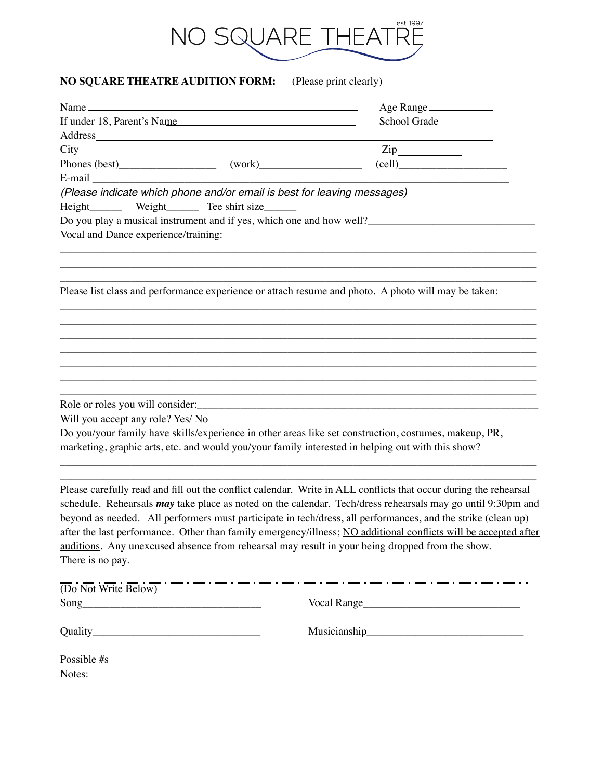

## **NO SQUARE THEATRE AUDITION FORM:** (Please print clearly)

|                                                                                                                                                                                                                                                | Age Range                                                                                                                                                                                                                                                                                                                                                                                                                                                                 |
|------------------------------------------------------------------------------------------------------------------------------------------------------------------------------------------------------------------------------------------------|---------------------------------------------------------------------------------------------------------------------------------------------------------------------------------------------------------------------------------------------------------------------------------------------------------------------------------------------------------------------------------------------------------------------------------------------------------------------------|
| If under 18, Parent's Name                                                                                                                                                                                                                     | School Grade                                                                                                                                                                                                                                                                                                                                                                                                                                                              |
| Address and the contract of the contract of the contract of the contract of the contract of the contract of the contract of the contract of the contract of the contract of the contract of the contract of the contract of th                 |                                                                                                                                                                                                                                                                                                                                                                                                                                                                           |
|                                                                                                                                                                                                                                                | $\mathsf{Zip}\_$                                                                                                                                                                                                                                                                                                                                                                                                                                                          |
|                                                                                                                                                                                                                                                | $\text{(cell)}$                                                                                                                                                                                                                                                                                                                                                                                                                                                           |
| (Please indicate which phone and/or email is best for leaving messages)<br>Height________ Weight________ Tee shirt size_______<br>Do you play a musical instrument and if yes, which one and how well?<br>Vocal and Dance experience/training: |                                                                                                                                                                                                                                                                                                                                                                                                                                                                           |
| Please list class and performance experience or attach resume and photo. A photo will may be taken:                                                                                                                                            |                                                                                                                                                                                                                                                                                                                                                                                                                                                                           |
|                                                                                                                                                                                                                                                |                                                                                                                                                                                                                                                                                                                                                                                                                                                                           |
| Role or roles you will consider:                                                                                                                                                                                                               |                                                                                                                                                                                                                                                                                                                                                                                                                                                                           |
| Will you accept any role? Yes/ No                                                                                                                                                                                                              |                                                                                                                                                                                                                                                                                                                                                                                                                                                                           |
| Do you/your family have skills/experience in other areas like set construction, costumes, makeup, PR,<br>marketing, graphic arts, etc. and would you/your family interested in helping out with this show?                                     |                                                                                                                                                                                                                                                                                                                                                                                                                                                                           |
| auditions. Any unexcused absence from rehearsal may result in your being dropped from the show.<br>There is no pay.                                                                                                                            | Please carefully read and fill out the conflict calendar. Write in ALL conflicts that occur during the rehearsal<br>schedule. Rehearsals <i>may</i> take place as noted on the calendar. Tech/dress rehearsals may go until 9:30pm and<br>beyond as needed. All performers must participate in tech/dress, all performances, and the strike (clean up)<br>after the last performance. Other than family emergency/illness; NO additional conflicts will be accepted after |
| _ . _ . _ _ . _<br>(Do Not Write Below)                                                                                                                                                                                                        |                                                                                                                                                                                                                                                                                                                                                                                                                                                                           |
|                                                                                                                                                                                                                                                | Vocal Range                                                                                                                                                                                                                                                                                                                                                                                                                                                               |

Quality\_\_\_\_\_\_\_\_\_\_\_\_\_\_\_\_\_\_\_\_\_\_\_\_\_\_\_\_\_\_\_ Musicianship\_\_\_\_\_\_\_\_\_\_\_\_\_\_\_\_\_\_\_\_\_\_\_\_\_\_\_\_\_

Possible #s Notes: